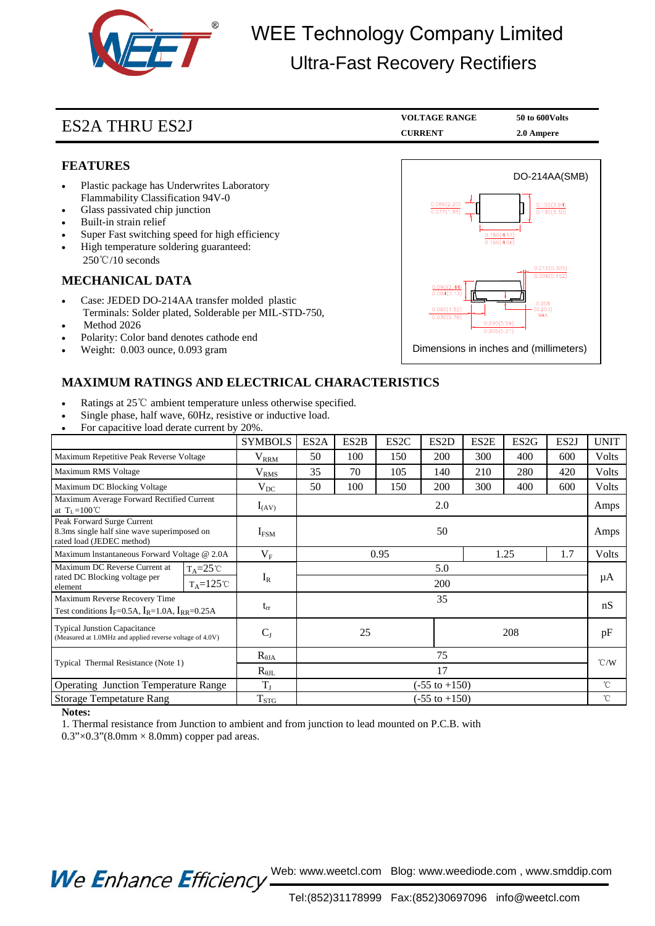

# WEE Technology Company Limited Ultra-Fast Recovery Rectifiers

# ES2A THRU ES2J **V**

| VOLTAGE RANGE  | 50 to 600 Volts |
|----------------|-----------------|
| <b>CURRENT</b> | 2.0 Ampere      |

### **FEATURES**

- Plastic package has Underwrites Laboratory Flammability Classification 94V-0
- Glass passivated chip junction
- Built-in strain relief
- Super Fast switching speed for high efficiency
- High temperature soldering guaranteed: 250℃/10 seconds

### **MECHANICAL DATA**

- Case: JEDED DO-214AA transfer molded plastic Terminals: Solder plated, Solderable per MIL-STD-750,
- Method 2026
- Polarity: Color band denotes cathode end
- Weight: 0.003 ounce, 0.093 gram



### **MAXIMUM RATINGS AND ELECTRICAL CHARACTERISTICS**

- Ratings at 25℃ ambient temperature unless otherwise specified.
- Single phase, half wave, 60Hz, resistive or inductive load.
- For capacitive load derate current by 20%.

|                                                                                                        | <b>SYMBOLS</b>    | ES <sub>2</sub> A        | ES <sub>2</sub> B | ES <sub>2</sub> C | ES <sub>2</sub> D | ES2E | ES <sub>2</sub> G | ES <sub>2</sub> J | <b>UNIT</b>   |
|--------------------------------------------------------------------------------------------------------|-------------------|--------------------------|-------------------|-------------------|-------------------|------|-------------------|-------------------|---------------|
| Maximum Repetitive Peak Reverse Voltage                                                                | $\rm V_{\rm RRM}$ | 50                       | 100               | 150               | 200               | 300  | 400               | 600               | Volts         |
| Maximum RMS Voltage                                                                                    | $\rm V_{RMS}$     | 35                       | 70                | 105               | 140               | 210  | 280               | 420               | Volts         |
| Maximum DC Blocking Voltage                                                                            | $\rm V_{DC}$      | 50                       | 100               | 150               | 200               | 300  | 400               | 600               | Volts         |
| Maximum Average Forward Rectified Current<br>at $T_L = 100^{\circ}C$                                   | $I_{(AV)}$        | 2.0                      |                   |                   |                   |      |                   |                   | Amps          |
| Peak Forward Surge Current<br>8.3ms single half sine wave superimposed on<br>rated load (JEDEC method) | $I_{FSM}$         | 50                       |                   |                   |                   |      |                   |                   | Amps          |
| Maximum Instantaneous Forward Voltage @ 2.0A                                                           | $\rm V_F$         | 0.95                     |                   |                   |                   | 1.25 |                   | 1.7               | Volts         |
| Maximum DC Reverse Current at<br>$T_A = 25^{\circ}C$<br>rated DC Blocking voltage per                  |                   | 5.0                      |                   |                   |                   |      |                   |                   | μA            |
| $T_A = 125$ °C<br>element                                                                              | $I_R$             | 200                      |                   |                   |                   |      |                   |                   |               |
| Maximum Reverse Recovery Time<br>Test conditions $I_F=0.5A$ , $I_R=1.0A$ , $I_{RR}=0.25A$              | $t_{rr}$          | 35                       |                   |                   |                   |      |                   |                   | nS            |
| <b>Typical Junstion Capacitance</b><br>(Measured at 1.0MHz and applied reverse voltage of 4.0V)        | $C_{J}$           | 25<br>208                |                   |                   |                   |      |                   | pF                |               |
| Typical Thermal Resistance (Note 1)                                                                    | $R_{\theta JA}$   | 75                       |                   |                   |                   |      |                   |                   | $\degree$ C/W |
|                                                                                                        | $R_{\theta IL}$   | 17                       |                   |                   |                   |      |                   |                   |               |
| <b>Operating Junction Temperature Range</b>                                                            | $T_{J}$           | $(-55 \text{ to } +150)$ |                   |                   |                   |      |                   |                   | $^{\circ}$ C  |
| <b>Storage Tempetature Rang</b>                                                                        | $T_{STG}$         | $(-55 \text{ to } +150)$ |                   |                   |                   |      |                   |                   | °C            |

#### **Notes:**

1. Thermal resistance from Junction to ambient and from junction to lead mounted on P.C.B. with

 $0.3$ " $\times$  $0.3$ " $(8.0$ mm  $\times$   $8.0$ mm) copper pad areas.

We Enhance Efficiency Web: www.weetcl.com Blog: www.weediode.com, www.smddip.com